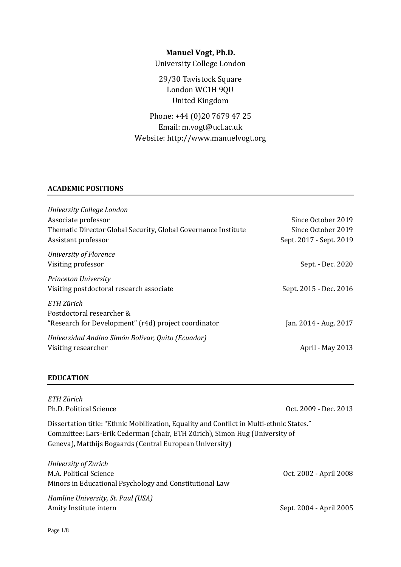# **Manuel Vogt, Ph.D.**

University College London

29/30 Tavistock Square London WC1H 9QU United Kingdom

Phone: +44 (0)20 7679 47 25 Email: m.vogt@ucl.ac.uk Website: http://www.manuelvogt.org

# **ACADEMIC POSITIONS**

| University College London                                      |                         |
|----------------------------------------------------------------|-------------------------|
| Associate professor                                            | Since October 2019      |
| Thematic Director Global Security, Global Governance Institute | Since October 2019      |
| Assistant professor                                            | Sept. 2017 - Sept. 2019 |
| University of Florence                                         |                         |
| Visiting professor                                             | Sept. - Dec. 2020       |
| Princeton University                                           |                         |
| Visiting postdoctoral research associate                       | Sept. 2015 - Dec. 2016  |
| ETH Zürich                                                     |                         |
| Postdoctoral researcher &                                      |                         |
| "Research for Development" (r4d) project coordinator           | Jan. 2014 - Aug. 2017   |
| Universidad Andina Simón Bolívar, Quito (Ecuador)              |                         |
| Visiting researcher                                            | April - May 2013        |
|                                                                |                         |

### **EDUCATION**

| ETH Zürich<br>Ph.D. Political Science                                                                                                                                                                                               | Oct. 2009 - Dec. 2013   |
|-------------------------------------------------------------------------------------------------------------------------------------------------------------------------------------------------------------------------------------|-------------------------|
| Dissertation title: "Ethnic Mobilization, Equality and Conflict in Multi-ethnic States."<br>Committee: Lars-Erik Cederman (chair, ETH Zürich), Simon Hug (University of<br>Geneva), Matthijs Bogaards (Central European University) |                         |
| University of Zurich<br>M.A. Political Science<br>Minors in Educational Psychology and Constitutional Law                                                                                                                           | Oct. 2002 - April 2008  |
| Hamline University, St. Paul (USA)<br>Amity Institute intern                                                                                                                                                                        | Sept. 2004 - April 2005 |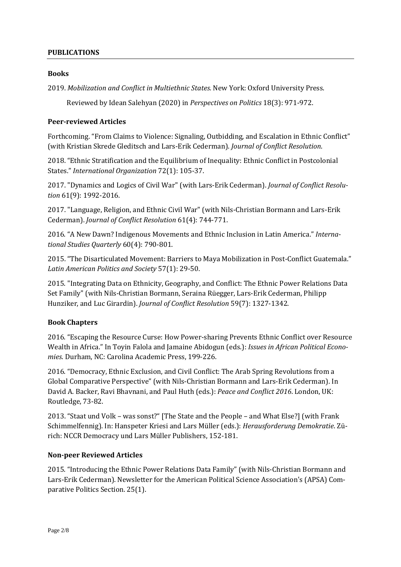## **PUBLICATIONS**

#### **Books**

2019. *Mobilization and Conflict in Multiethnic States.* New York: Oxford University Press.

Reviewed by Idean Salehyan (2020) in *Perspectives on Politics* 18(3): 971-972.

#### **Peer-reviewed Articles**

Forthcoming. "From Claims to Violence: Signaling, Outbidding, and Escalation in Ethnic Conflict" (with Kristian Skrede Gleditsch and Lars-Erik Cederman). *Journal of Conflict Resolution*.

2018. "Ethnic Stratification and the Equilibrium of Inequality: Ethnic Conflict in Postcolonial States." *International Organization* 72(1): 105-37.

2017. "Dynamics and Logics of Civil War" (with Lars-Erik Cederman). *Journal of Conflict Resolution* 61(9): 1992-2016.

2017. "Language, Religion, and Ethnic Civil War" (with Nils-Christian Bormann and Lars-Erik Cederman). *Journal of Conflict Resolution* 61(4): 744-771.

2016. "A New Dawn? Indigenous Movements and Ethnic Inclusion in Latin America." *International Studies Quarterly* 60(4): 790-801.

2015. "The Disarticulated Movement: Barriers to Maya Mobilization in Post-Conflict Guatemala." *Latin American Politics and Society* 57(1): 29-50.

2015. "Integrating Data on Ethnicity, Geography, and Conflict: The Ethnic Power Relations Data Set Family" (with Nils-Christian Bormann, Seraina Rüegger, Lars-Erik Cederman, Philipp Hunziker, and Luc Girardin). *Journal of Conflict Resolution* 59(7): 1327-1342.

## **Book Chapters**

2016. "Escaping the Resource Curse: How Power-sharing Prevents Ethnic Conflict over Resource Wealth in Africa." In Toyin Falola and Jamaine Abidogun (eds.): *Issues in African Political Economies*. Durham, NC: Carolina Academic Press, 199-226.

2016. "Democracy, Ethnic Exclusion, and Civil Conflict: The Arab Spring Revolutions from a Global Comparative Perspective" (with Nils-Christian Bormann and Lars-Erik Cederman). In David A. Backer, Ravi Bhavnani, and Paul Huth (eds.): *Peace and Conflict 2016*. London, UK: Routledge, 73-82.

2013. "Staat und Volk – was sonst?" [The State and the People – and What Else?] (with Frank Schimmelfennig). In: Hanspeter Kriesi and Lars Müller (eds.): *Herausforderung Demokratie*. Zürich: NCCR Democracy und Lars Müller Publishers, 152-181.

#### **Non-peer Reviewed Articles**

2015. "Introducing the Ethnic Power Relations Data Family" (with Nils-Christian Bormann and Lars-Erik Cederman). Newsletter for the American Political Science Association's (APSA) Comparative Politics Section. 25(1).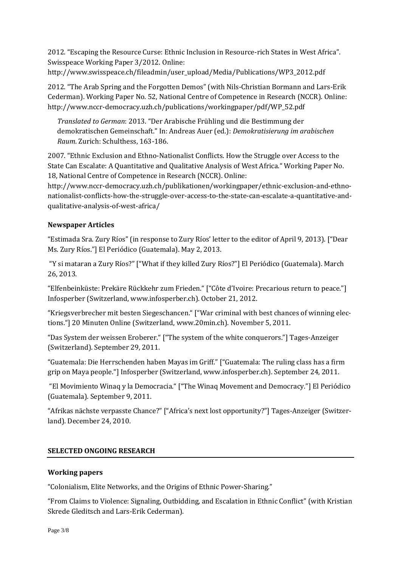2012. "Escaping the Resource Curse: Ethnic Inclusion in Resource-rich States in West Africa". Swisspeace Working Paper 3/2012. Online: http://www.swisspeace.ch/fileadmin/user\_upload/Media/Publications/WP3\_2012.pdf

2012. "The Arab Spring and the Forgotten Demos" (with Nils-Christian Bormann and Lars-Erik Cederman). Working Paper No. 52, National Centre of Competence in Research (NCCR). Online: http://www.nccr-democracy.uzh.ch/publications/workingpaper/pdf/WP\_52.pdf

*Translated to German*: 2013. "Der Arabische Frühling und die Bestimmung der demokratischen Gemeinschaft." In: Andreas Auer (ed.): *Demokratisierung im arabischen Raum*. Zurich: Schulthess, 163-186.

2007. "Ethnic Exclusion and Ethno-Nationalist Conflicts. How the Struggle over Access to the State Can Escalate: A Quantitative and Qualitative Analysis of West Africa." Working Paper No. 18, National Centre of Competence in Research (NCCR). Online:

http://www.nccr-democracy.uzh.ch/publikationen/workingpaper/ethnic-exclusion-and-ethnonationalist-conflicts-how-the-struggle-over-access-to-the-state-can-escalate-a-quantitative-andqualitative-analysis-of-west-africa/

## **Newspaper Articles**

"Estimada Sra. Zury Ríos" (in response to Zury Ríos' letter to the editor of April 9, 2013). ["Dear Ms. Zury Ríos."] El Periódico (Guatemala). May 2, 2013.

"Y si mataran a Zury Ríos?" ["What if they killed Zury Ríos?"] El Periódico (Guatemala). March 26, 2013.

"Elfenbeinküste: Prekäre Rückkehr zum Frieden." ["Côte d'Ivoire: Precarious return to peace."] Infosperber (Switzerland, [www.infosperber.ch\)](http://www.infosperber.ch/). October 21, 2012.

"Kriegsverbrecher mit besten Siegeschancen." ["War criminal with best chances of winning elections."] 20 Minuten Online (Switzerland, [www.20min.ch\)](http://www.20min.ch/). November 5, 2011.

"Das System der weissen Eroberer." ["The system of the white conquerors."] Tages-Anzeiger (Switzerland). September 29, 2011.

"Guatemala: Die Herrschenden haben Mayas im Griff." ["Guatemala: The ruling class has a firm grip on Maya people."] Infosperber (Switzerland, [www.infosperber.ch\)](http://www.infosperber.ch/). September 24, 2011.

"El Movimiento Winaq y la Democracia." ["The Winaq Movement and Democracy."] El Periódico (Guatemala). September 9, 2011.

"Afrikas nächste verpasste Chance?" ["Africa's next lost opportunity?"] Tages-Anzeiger (Switzerland). December 24, 2010.

## **SELECTED ONGOING RESEARCH**

## **Working papers**

"Colonialism, Elite Networks, and the Origins of Ethnic Power-Sharing."

"From Claims to Violence: Signaling, Outbidding, and Escalation in Ethnic Conflict" (with Kristian Skrede Gleditsch and Lars-Erik Cederman).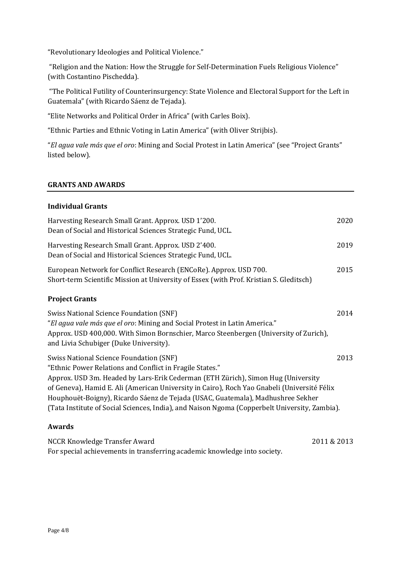"Revolutionary Ideologies and Political Violence."

"Religion and the Nation: How the Struggle for Self-Determination Fuels Religious Violence" (with Costantino Pischedda).

"The Political Futility of Counterinsurgency: State Violence and Electoral Support for the Left in Guatemala" (with Ricardo Sáenz de Tejada).

"Elite Networks and Political Order in Africa" (with Carles Boix).

"Ethnic Parties and Ethnic Voting in Latin America" (with Oliver Strijbis).

"*El agua vale más que el oro*: Mining and Social Protest in Latin America" (see "Project Grants" listed below).

## **GRANTS AND AWARDS**

### **Individual Grants**

| Harvesting Research Small Grant. Approx. USD 1'200.<br>Dean of Social and Historical Sciences Strategic Fund, UCL.                                                                                                                                                                                                                                                                                                                                                                | 2020        |
|-----------------------------------------------------------------------------------------------------------------------------------------------------------------------------------------------------------------------------------------------------------------------------------------------------------------------------------------------------------------------------------------------------------------------------------------------------------------------------------|-------------|
| Harvesting Research Small Grant. Approx. USD 2'400.<br>Dean of Social and Historical Sciences Strategic Fund, UCL.                                                                                                                                                                                                                                                                                                                                                                | 2019        |
| European Network for Conflict Research (ENCoRe). Approx. USD 700.<br>Short-term Scientific Mission at University of Essex (with Prof. Kristian S. Gleditsch)                                                                                                                                                                                                                                                                                                                      | 2015        |
| <b>Project Grants</b>                                                                                                                                                                                                                                                                                                                                                                                                                                                             |             |
| <b>Swiss National Science Foundation (SNF)</b><br>"El agua vale más que el oro: Mining and Social Protest in Latin America."<br>Approx. USD 400,000. With Simon Bornschier, Marco Steenbergen (University of Zurich),<br>and Livia Schubiger (Duke University).                                                                                                                                                                                                                   | 2014        |
| <b>Swiss National Science Foundation (SNF)</b><br>"Ethnic Power Relations and Conflict in Fragile States."<br>Approx. USD 3m. Headed by Lars-Erik Cederman (ETH Zürich), Simon Hug (University<br>of Geneva), Hamid E. Ali (American University in Cairo), Roch Yao Gnabeli (Université Félix<br>Houphouët-Boigny), Ricardo Sáenz de Tejada (USAC, Guatemala), Madhushree Sekher<br>(Tata Institute of Social Sciences, India), and Naison Ngoma (Copperbelt University, Zambia). | 2013        |
| <b>Awards</b>                                                                                                                                                                                                                                                                                                                                                                                                                                                                     |             |
| NCCR Knowledge Transfer Award                                                                                                                                                                                                                                                                                                                                                                                                                                                     | 2011 & 2013 |

For special achievements in transferring academic knowledge into society.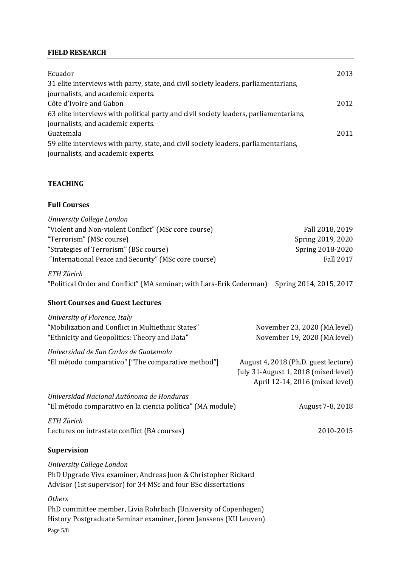# **FIELD RESEARCH**

| Ecuador                                                                               | 2013 |
|---------------------------------------------------------------------------------------|------|
| 31 elite interviews with party, state, and civil society leaders, parliamentarians,   |      |
| journalists, and academic experts.                                                    |      |
| Côte d'Ivoire and Gabon                                                               | 2012 |
| 63 elite interviews with political party and civil society leaders, parliamentarians, |      |
| journalists, and academic experts.                                                    |      |
| Guatemala                                                                             | 2011 |
| 59 elite interviews with party, state, and civil society leaders, parliamentarians,   |      |
| journalists, and academic experts.                                                    |      |

## **TEACHING**

## **Full Courses**

| University College London                                                          |                                      |
|------------------------------------------------------------------------------------|--------------------------------------|
| "Violent and Non-violent Conflict" (MSc core course)                               | Fall 2018, 2019                      |
| "Terrorism" (MSc course)                                                           | Spring 2019, 2020                    |
| "Strategies of Terrorism" (BSc course)                                             | Spring 2018-2020                     |
| "International Peace and Security" (MSc core course)                               | <b>Fall 2017</b>                     |
| ETH Zürich<br>"Political Order and Conflict" (MA seminar; with Lars-Erik Cederman) | Spring 2014, 2015, 2017              |
| <b>Short Courses and Guest Lectures</b>                                            |                                      |
| University of Florence, Italy                                                      |                                      |
| "Mobilization and Conflict in Multiethnic States"                                  | November 23, 2020 (MA level)         |
| "Ethnicity and Geopolitics: Theory and Data"                                       | November 19, 2020 (MA level)         |
| Universidad de San Carlos de Guatemala                                             |                                      |
| "El método comparativo" ["The comparative method"]                                 | August 4, 2018 (Ph.D. guest lecture) |
|                                                                                    | July 31-August 1, 2018 (mixed level) |
|                                                                                    | April 12-14, 2016 (mixed level)      |
|                                                                                    |                                      |
| Universidad Nacional Autónoma de Honduras                                          |                                      |
| "El método comparativo en la ciencia política" (MA module)                         | August 7-8, 2018                     |
| ETH Zürich                                                                         |                                      |
| Lectures on intrastate conflict (BA courses)                                       | 2010-2015                            |
|                                                                                    |                                      |
| <b>Supervision</b>                                                                 |                                      |
| University College London                                                          |                                      |
| PhD Upgrade Viva examiner, Andreas Juon & Christopher Rickard                      |                                      |
| Advisor (1st supervisor) for 34 MSc and four BSc dissertations                     |                                      |
| <b>Others</b>                                                                      |                                      |
| PhD committee member, Livia Rohrbach (University of Copenhagen)                    |                                      |
| History Postgraduate Seminar examiner, Joren Janssens (KU Leuven)                  |                                      |
| Page 5/8                                                                           |                                      |
|                                                                                    |                                      |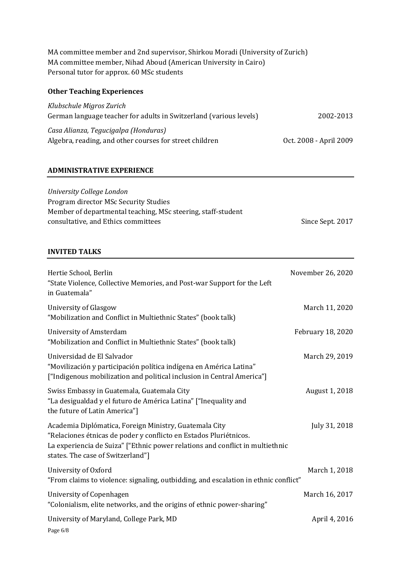MA committee member and 2nd supervisor, Shirkou Moradi (University of Zurich) MA committee member, Nihad Aboud (American University in Cairo) Personal tutor for approx. 60 MSc students

## **Other Teaching Experiences**

| Klubschule Migros Zurich                                           |                        |
|--------------------------------------------------------------------|------------------------|
| German language teacher for adults in Switzerland (various levels) | 2002-2013              |
| Casa Alianza, Tegucigalpa (Honduras)                               |                        |
| Algebra, reading, and other courses for street children            | Oct. 2008 - April 2009 |

### **ADMINISTRATIVE EXPERIENCE**

| University College London                                    |                  |
|--------------------------------------------------------------|------------------|
| Program director MSc Security Studies                        |                  |
| Member of departmental teaching, MSc steering, staff-student |                  |
| consultative, and Ethics committees                          | Since Sept. 2017 |

### **INVITED TALKS**

| Hertie School, Berlin<br>"State Violence, Collective Memories, and Post-war Support for the Left<br>in Guatemala"                                                                                                                                 | November 26, 2020 |
|---------------------------------------------------------------------------------------------------------------------------------------------------------------------------------------------------------------------------------------------------|-------------------|
| University of Glasgow<br>"Mobilization and Conflict in Multiethnic States" (book talk)                                                                                                                                                            | March 11, 2020    |
| <b>University of Amsterdam</b><br>"Mobilization and Conflict in Multiethnic States" (book talk)                                                                                                                                                   | February 18, 2020 |
| Universidad de El Salvador<br>"Movilización y participación política indígena en América Latina"<br>["Indigenous mobilization and political inclusion in Central America"]                                                                        | March 29, 2019    |
| Swiss Embassy in Guatemala, Guatemala City<br>"La desigualdad y el futuro de América Latina" ["Inequality and<br>the future of Latin America"]                                                                                                    | August 1, 2018    |
| Academia Diplómatica, Foreign Ministry, Guatemala City<br>"Relaciones étnicas de poder y conflicto en Estados Pluriétnicos.<br>La experiencia de Suiza" ["Ethnic power relations and conflict in multiethnic<br>states. The case of Switzerland"] | July 31, 2018     |
| University of Oxford<br>"From claims to violence: signaling, outbidding, and escalation in ethnic conflict"                                                                                                                                       | March 1, 2018     |
| University of Copenhagen<br>"Colonialism, elite networks, and the origins of ethnic power-sharing"                                                                                                                                                | March 16, 2017    |
| University of Maryland, College Park, MD<br>Page 6/8                                                                                                                                                                                              | April 4, 2016     |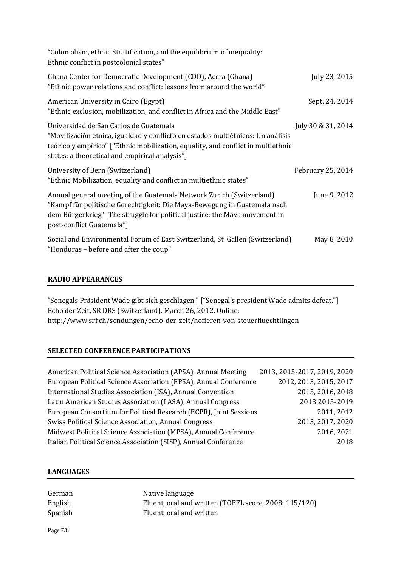| "Colonialism, ethnic Stratification, and the equilibrium of inequality:<br>Ethnic conflict in postcolonial states"                                                                                                                                              |                    |  |
|-----------------------------------------------------------------------------------------------------------------------------------------------------------------------------------------------------------------------------------------------------------------|--------------------|--|
| Ghana Center for Democratic Development (CDD), Accra (Ghana)<br>"Ethnic power relations and conflict: lessons from around the world"                                                                                                                            | July 23, 2015      |  |
| American University in Cairo (Egypt)<br>"Ethnic exclusion, mobilization, and conflict in Africa and the Middle East"                                                                                                                                            | Sept. 24, 2014     |  |
| Universidad de San Carlos de Guatemala<br>"Movilización étnica, igualdad y conflicto en estados multiétnicos: Un análisis<br>teórico y empírico" ["Ethnic mobilization, equality, and conflict in multiethnic<br>states: a theoretical and empirical analysis"] | July 30 & 31, 2014 |  |
| University of Bern (Switzerland)<br>"Ethnic Mobilization, equality and conflict in multiethnic states"                                                                                                                                                          | February 25, 2014  |  |
| Annual general meeting of the Guatemala Network Zurich (Switzerland)<br>"Kampf für politische Gerechtigkeit: Die Maya-Bewegung in Guatemala nach<br>dem Bürgerkrieg" [The struggle for political justice: the Maya movement in<br>post-conflict Guatemala"]     | June 9, 2012       |  |
| Social and Environmental Forum of East Switzerland, St. Gallen (Switzerland)<br>"Honduras - before and after the coup"                                                                                                                                          | May 8, 2010        |  |

# **RADIO APPEARANCES**

"Senegals Präsident Wade gibt sich geschlagen." ["Senegal's president Wade admits defeat."] Echo der Zeit, SR DRS (Switzerland). March 26, 2012. Online: http://www.srf.ch/sendungen/echo-der-zeit/hofieren-von-steuerfluechtlingen

## **SELECTED CONFERENCE PARTICIPATIONS**

| American Political Science Association (APSA), Annual Meeting     | 2013, 2015-2017, 2019, 2020 |
|-------------------------------------------------------------------|-----------------------------|
| European Political Science Association (EPSA), Annual Conference  | 2012, 2013, 2015, 2017      |
| International Studies Association (ISA), Annual Convention        | 2015, 2016, 2018            |
| Latin American Studies Association (LASA), Annual Congress        | 2013 2015-2019              |
| European Consortium for Political Research (ECPR), Joint Sessions | 2011, 2012                  |
| Swiss Political Science Association, Annual Congress              | 2013, 2017, 2020            |
| Midwest Political Science Association (MPSA), Annual Conference   | 2016, 2021                  |
| Italian Political Science Association (SISP), Annual Conference   | 2018                        |

## **LANGUAGES**

| German  | Native language                                       |
|---------|-------------------------------------------------------|
| English | Fluent, oral and written (TOEFL score, 2008: 115/120) |
| Spanish | Fluent, oral and written                              |